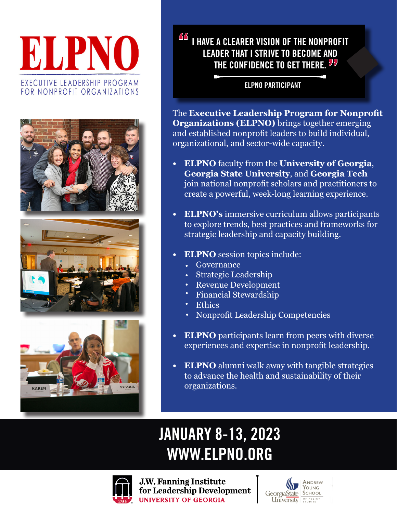# ELPNO EXECUTIVE LEADERSHIP PROGRAM FOR NONPROFIT ORGANIZATIONS







### I HAVE A CLEARER VISION OF THE NONPROFIT LEADER THAT I STRIVE TO BECOME AND THE CONFIDENCE TO GET THERE. <sup>57</sup> <u> AA</u>

#### ELPNO PARTICIPANT

The **Executive Leadership Program for Nonprofit Organizations (ELPNO)** brings together emerging and established nonprofit leaders to build individual, organizational, and sector-wide capacity.

- **• ELPNO** faculty from the **University of Georgia**, **Georgia State University**, and **Georgia Tech** join national nonprofit scholars and practitioners to create a powerful, week-long learning experience.
- **• ELPNO's** immersive curriculum allows participants to explore trends, best practices and frameworks for strategic leadership and capacity building.
- **• ELPNO** session topics include:
	- Governance
	- Strategic Leadership •
	- Revenue Development •
	- Financial Stewardship •
	- **Ethics** •
	- Nonprofit Leadership Competencies
- **• ELPNO** participants learn from peers with diverse experiences and expertise in nonprofit leadership.
- **• ELPNO** alumni walk away with tangible strategies to advance the health and sustainability of their organizations.

## JANUARY 8-13, 2023 WWW.ELPNO.ORG



**J.W. Fanning Institute** for Leadership Development **UNIVERSITY OF GEORGIA**